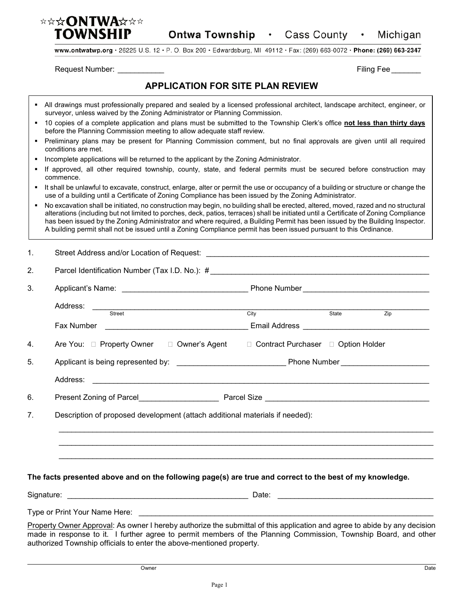

www.ontwatwp.org · 26225 U.S. 12 · P. O. Box 209 · Edwardsburg, MI 49112 · Fax: (269) 663-0072 · Phone: (269) 663-2347

Request Number: \_\_\_\_\_\_\_\_\_\_\_ Filing Fee \_\_\_\_\_\_\_

Г

## **APPLICATION FOR SITE PLAN REVIEW**

|    | All drawings must professionally prepared and sealed by a licensed professional architect, landscape architect, engineer, or<br>surveyor, unless waived by the Zoning Administrator or Planning Commission.                                                                                                                                                                                                                                                                                                                                                                       |                                      |       |                  |  |  |
|----|-----------------------------------------------------------------------------------------------------------------------------------------------------------------------------------------------------------------------------------------------------------------------------------------------------------------------------------------------------------------------------------------------------------------------------------------------------------------------------------------------------------------------------------------------------------------------------------|--------------------------------------|-------|------------------|--|--|
|    | 10 copies of a complete application and plans must be submitted to the Township Clerk's office not less than thirty days<br>before the Planning Commission meeting to allow adequate staff review.<br>Preliminary plans may be present for Planning Commission comment, but no final approvals are given until all required<br>conditions are met.<br>Incomplete applications will be returned to the applicant by the Zoning Administrator.<br>If approved, all other required township, county, state, and federal permits must be secured before construction may<br>commence. |                                      |       |                  |  |  |
|    |                                                                                                                                                                                                                                                                                                                                                                                                                                                                                                                                                                                   |                                      |       |                  |  |  |
| ٠  |                                                                                                                                                                                                                                                                                                                                                                                                                                                                                                                                                                                   |                                      |       |                  |  |  |
| ٠  |                                                                                                                                                                                                                                                                                                                                                                                                                                                                                                                                                                                   |                                      |       |                  |  |  |
|    | It shall be unlawful to excavate, construct, enlarge, alter or permit the use or occupancy of a building or structure or change the<br>use of a building until a Certificate of Zoning Compliance has been issued by the Zoning Administrator.                                                                                                                                                                                                                                                                                                                                    |                                      |       |                  |  |  |
|    | No excavation shall be initiated, no construction may begin, no building shall be erected, altered, moved, razed and no structural<br>alterations (including but not limited to porches, deck, patios, terraces) shall be initiated until a Certificate of Zoning Compliance<br>has been issued by the Zoning Administrator and where required, a Building Permit has been issued by the Building Inspector.<br>A building permit shall not be issued until a Zoning Compliance permit has been issued pursuant to this Ordinance.                                                |                                      |       |                  |  |  |
| 1. |                                                                                                                                                                                                                                                                                                                                                                                                                                                                                                                                                                                   |                                      |       |                  |  |  |
| 2. |                                                                                                                                                                                                                                                                                                                                                                                                                                                                                                                                                                                   |                                      |       |                  |  |  |
| 3. |                                                                                                                                                                                                                                                                                                                                                                                                                                                                                                                                                                                   |                                      |       |                  |  |  |
|    | Address:                                                                                                                                                                                                                                                                                                                                                                                                                                                                                                                                                                          |                                      |       |                  |  |  |
|    | Street                                                                                                                                                                                                                                                                                                                                                                                                                                                                                                                                                                            | City                                 | State | $\overline{Zip}$ |  |  |
|    |                                                                                                                                                                                                                                                                                                                                                                                                                                                                                                                                                                                   |                                      |       |                  |  |  |
| 4. | Are You: □ Property Owner □ Owner's Agent                                                                                                                                                                                                                                                                                                                                                                                                                                                                                                                                         | □ Contract Purchaser □ Option Holder |       |                  |  |  |
| 5. |                                                                                                                                                                                                                                                                                                                                                                                                                                                                                                                                                                                   |                                      |       |                  |  |  |
|    | Address: 2008 - 2008 - 2008 - 2008 - 2008 - 2018 - 2019 - 2019 - 2019 - 2019 - 2019 - 2019 - 2019 - 2019 - 20                                                                                                                                                                                                                                                                                                                                                                                                                                                                     |                                      |       |                  |  |  |
| 6. |                                                                                                                                                                                                                                                                                                                                                                                                                                                                                                                                                                                   |                                      |       |                  |  |  |
| 7. | Description of proposed development (attach additional materials if needed):                                                                                                                                                                                                                                                                                                                                                                                                                                                                                                      |                                      |       |                  |  |  |
|    |                                                                                                                                                                                                                                                                                                                                                                                                                                                                                                                                                                                   |                                      |       |                  |  |  |
|    | The facts presented above and on the following page(s) are true and correct to the best of my knowledge.                                                                                                                                                                                                                                                                                                                                                                                                                                                                          |                                      |       |                  |  |  |
|    |                                                                                                                                                                                                                                                                                                                                                                                                                                                                                                                                                                                   |                                      |       |                  |  |  |
|    | Type or Print Your Name Here:                                                                                                                                                                                                                                                                                                                                                                                                                                                                                                                                                     |                                      |       |                  |  |  |
|    | Property Owner Approval: As owner I hereby authorize the submittal of this application and agree to abide by any decision                                                                                                                                                                                                                                                                                                                                                                                                                                                         |                                      |       |                  |  |  |
|    | made in response to it. I further agree to permit members of the Planning Commission, Township Board, and other<br>authorized Township officials to enter the above-mentioned property.                                                                                                                                                                                                                                                                                                                                                                                           |                                      |       |                  |  |  |